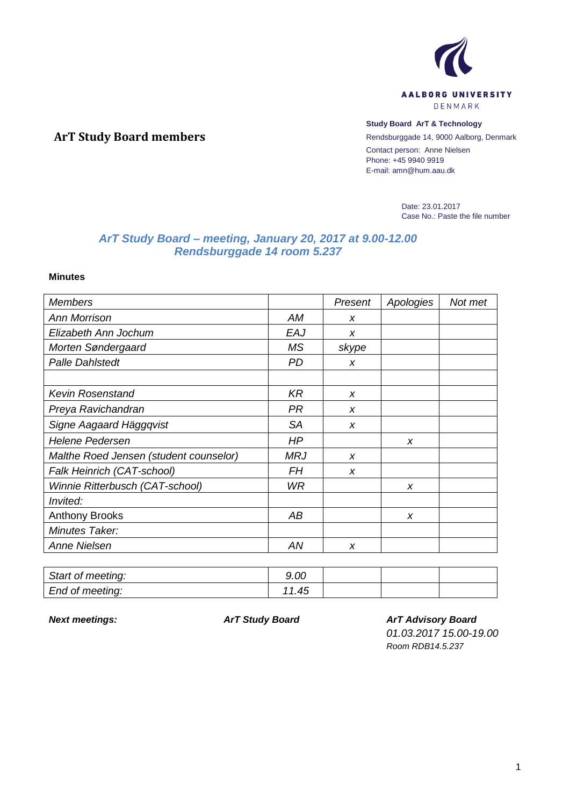

#### **Study Board ArT & Technology**

Rendsburggade 14, 9000 Aalborg, Denmark Contact person: Anne Nielsen Phone: +45 9940 9919 E-mail: amn@hum.aau.dk

> Date: 23.01.2017 Case No.: Paste the file number

# *ArT Study Board – meeting, January 20, 2017 at 9.00-12.00 Rendsburggade 14 room 5.237*

**Minutes**

**ArT Study Board members**

| <b>Members</b>                         |            | Present          | Apologies | Not met |
|----------------------------------------|------------|------------------|-----------|---------|
| <b>Ann Morrison</b>                    | AM         | X                |           |         |
| Elizabeth Ann Jochum                   | EAJ        | X                |           |         |
| Morten Søndergaard                     | <b>MS</b>  | skype            |           |         |
| <b>Palle Dahlstedt</b>                 | <b>PD</b>  | X                |           |         |
|                                        |            |                  |           |         |
| <b>Kevin Rosenstand</b>                | <b>KR</b>  | $\boldsymbol{x}$ |           |         |
| Preya Ravichandran                     | PR.        | X                |           |         |
| Signe Aagaard Häggqvist                | <b>SA</b>  | X                |           |         |
| <b>Helene Pedersen</b>                 | ΗP         |                  | x         |         |
| Malthe Roed Jensen (student counselor) | <b>MRJ</b> | $\boldsymbol{x}$ |           |         |
| Falk Heinrich (CAT-school)             | FH         | X                |           |         |
| Winnie Ritterbusch (CAT-school)        | WR.        |                  | X         |         |
| <i>Invited:</i>                        |            |                  |           |         |
| <b>Anthony Brooks</b>                  | АB         |                  | X         |         |
| Minutes Taker:                         |            |                  |           |         |
| <b>Anne Nielsen</b>                    | ΑN         | X                |           |         |

| Start of meeting: | 9.00      |  |  |
|-------------------|-----------|--|--|
| End of meeting:   | 4F<br>…די |  |  |

*Next meetings: ArT Study Board ArT Advisory Board*

*01.03.2017 15.00-19.00*

*Room RDB14.5.237*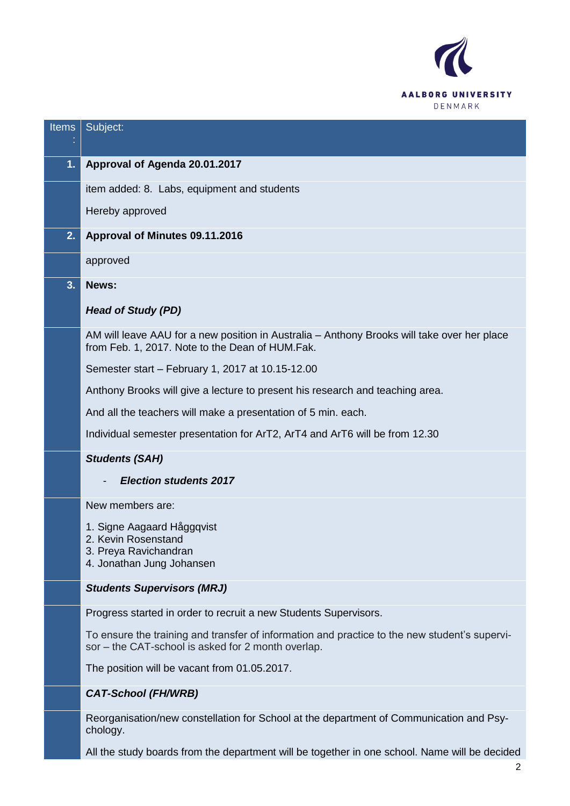

| <b>Items</b> | Subject:                                                                                                                                            |
|--------------|-----------------------------------------------------------------------------------------------------------------------------------------------------|
|              |                                                                                                                                                     |
| 1.           | Approval of Agenda 20.01.2017                                                                                                                       |
|              | item added: 8. Labs, equipment and students                                                                                                         |
|              | Hereby approved                                                                                                                                     |
| 2.           | Approval of Minutes 09.11.2016                                                                                                                      |
|              | approved                                                                                                                                            |
| 3.           | News:                                                                                                                                               |
|              | <b>Head of Study (PD)</b>                                                                                                                           |
|              | AM will leave AAU for a new position in Australia – Anthony Brooks will take over her place<br>from Feb. 1, 2017. Note to the Dean of HUM.Fak.      |
|              | Semester start - February 1, 2017 at 10.15-12.00                                                                                                    |
|              | Anthony Brooks will give a lecture to present his research and teaching area.                                                                       |
|              | And all the teachers will make a presentation of 5 min. each.                                                                                       |
|              | Individual semester presentation for ArT2, ArT4 and ArT6 will be from 12.30                                                                         |
|              | <b>Students (SAH)</b>                                                                                                                               |
|              | <b>Election students 2017</b>                                                                                                                       |
|              | New members are:                                                                                                                                    |
|              | 1. Signe Aagaard Håggqvist<br>2. Kevin Rosenstand<br>3. Preya Ravichandran<br>4. Jonathan Jung Johansen                                             |
|              | <b>Students Supervisors (MRJ)</b>                                                                                                                   |
|              | Progress started in order to recruit a new Students Supervisors.                                                                                    |
|              | To ensure the training and transfer of information and practice to the new student's supervi-<br>sor - the CAT-school is asked for 2 month overlap. |
|              | The position will be vacant from 01.05.2017.                                                                                                        |
|              | <b>CAT-School (FH/WRB)</b>                                                                                                                          |
|              | Reorganisation/new constellation for School at the department of Communication and Psy-<br>chology.                                                 |
|              | All the study boards from the department will be together in one school. Name will be decided                                                       |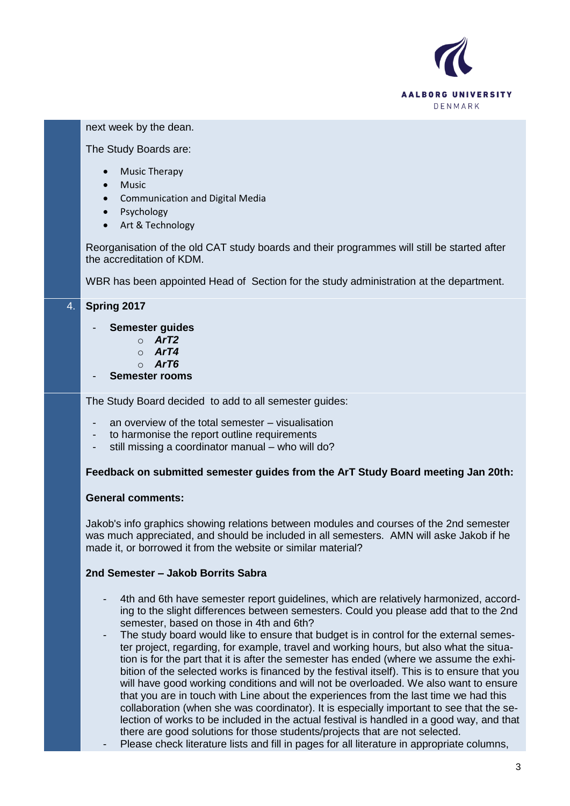

### next week by the dean.

#### The Study Boards are:

- Music Therapy
- Music
- Communication and Digital Media
- Psychology
- Art & Technology

Reorganisation of the old CAT study boards and their programmes will still be started after the accreditation of KDM.

WBR has been appointed Head of Section for the study administration at the department.

## 4. **Spring 2017**

### - **Semester guides**

- o *ArT2*
- o *ArT4*
- o *ArT6*
- **Semester rooms**

The Study Board decided to add to all semester guides:

- an overview of the total semester visualisation
- to harmonise the report outline requirements
- still missing a coordinator manual who will do?

### **Feedback on submitted semester guides from the ArT Study Board meeting Jan 20th:**

### **General comments:**

Jakob's info graphics showing relations between modules and courses of the 2nd semester was much appreciated, and should be included in all semesters. AMN will aske Jakob if he made it, or borrowed it from the website or similar material?

### **2nd Semester – Jakob Borrits Sabra**

- 4th and 6th have semester report guidelines, which are relatively harmonized, according to the slight differences between semesters. Could you please add that to the 2nd semester, based on those in 4th and 6th?
- The study board would like to ensure that budget is in control for the external semester project, regarding, for example, travel and working hours, but also what the situation is for the part that it is after the semester has ended (where we assume the exhibition of the selected works is financed by the festival itself). This is to ensure that you will have good working conditions and will not be overloaded. We also want to ensure that you are in touch with Line about the experiences from the last time we had this collaboration (when she was coordinator). It is especially important to see that the selection of works to be included in the actual festival is handled in a good way, and that there are good solutions for those students/projects that are not selected.
	- Please check literature lists and fill in pages for all literature in appropriate columns,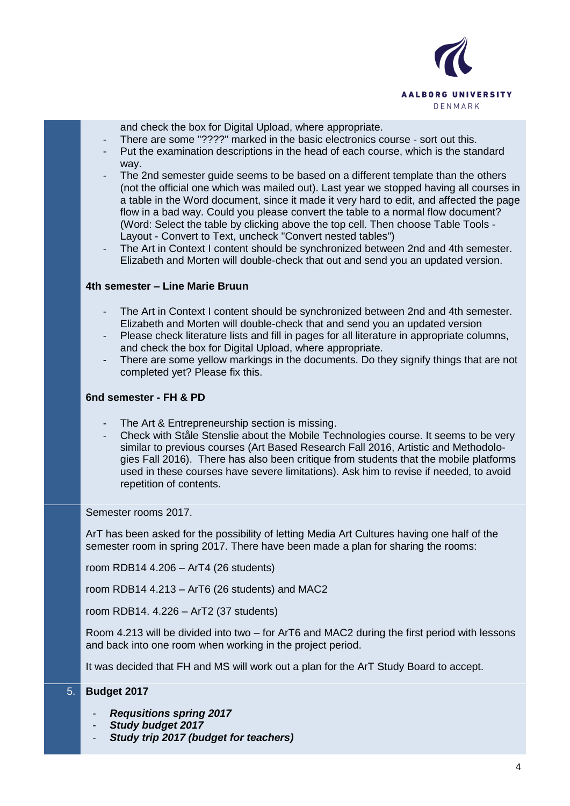

and check the box for Digital Upload, where appropriate.

- There are some "????" marked in the basic electronics course sort out this.
- Put the examination descriptions in the head of each course, which is the standard way.
- The 2nd semester guide seems to be based on a different template than the others (not the official one which was mailed out). Last year we stopped having all courses in a table in the Word document, since it made it very hard to edit, and affected the page flow in a bad way. Could you please convert the table to a normal flow document? (Word: Select the table by clicking above the top cell. Then choose Table Tools - Layout - Convert to Text, uncheck "Convert nested tables")
- The Art in Context I content should be synchronized between 2nd and 4th semester. Elizabeth and Morten will double-check that out and send you an updated version.

#### **4th semester – Line Marie Bruun**

- The Art in Context I content should be synchronized between 2nd and 4th semester. Elizabeth and Morten will double-check that and send you an updated version
- Please check literature lists and fill in pages for all literature in appropriate columns, and check the box for Digital Upload, where appropriate.
- There are some yellow markings in the documents. Do they signify things that are not completed yet? Please fix this.

#### **6nd semester - FH & PD**

- The Art & Entrepreneurship section is missing.
- Check with Ståle Stenslie about the Mobile Technologies course. It seems to be very similar to previous courses (Art Based Research Fall 2016, Artistic and Methodologies Fall 2016). There has also been critique from students that the mobile platforms used in these courses have severe limitations). Ask him to revise if needed, to avoid repetition of contents.

Semester rooms 2017.

ArT has been asked for the possibility of letting Media Art Cultures having one half of the semester room in spring 2017. There have been made a plan for sharing the rooms:

room RDB14 4.206 – ArT4 (26 students)

room RDB14 4.213 – ArT6 (26 students) and MAC2

room RDB14. 4.226 – ArT2 (37 students)

Room 4.213 will be divided into two – for ArT6 and MAC2 during the first period with lessons and back into one room when working in the project period.

It was decided that FH and MS will work out a plan for the ArT Study Board to accept.

#### 5. **Budget 2017**

- *Requsitions spring 2017*
- *Study budget 2017*
- *Study trip 2017 (budget for teachers)*